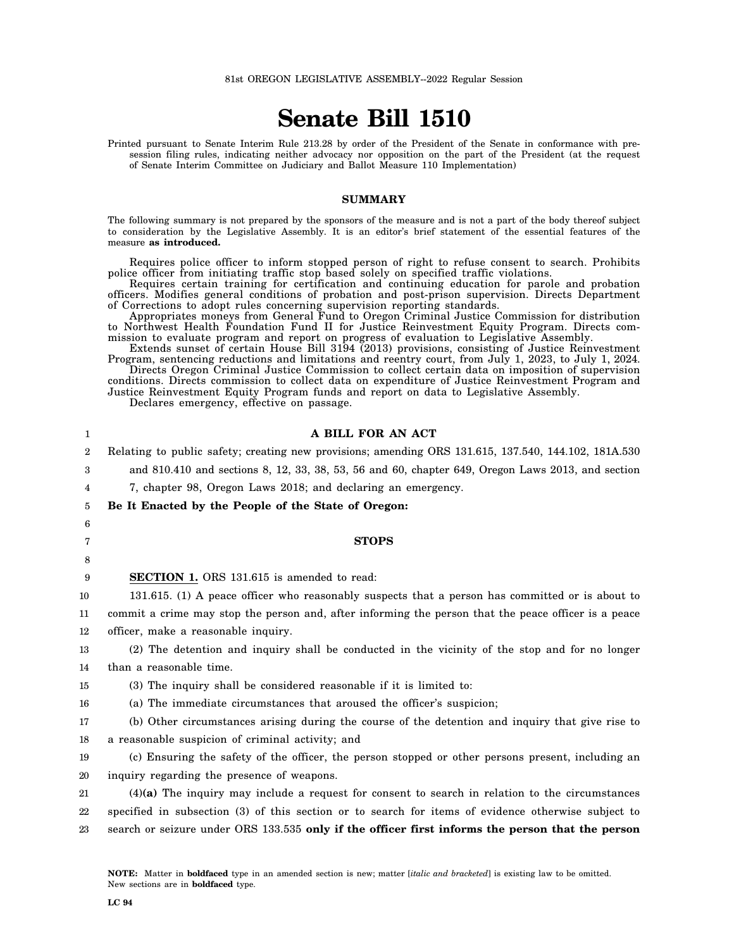# **Senate Bill 1510**

Printed pursuant to Senate Interim Rule 213.28 by order of the President of the Senate in conformance with presession filing rules, indicating neither advocacy nor opposition on the part of the President (at the request of Senate Interim Committee on Judiciary and Ballot Measure 110 Implementation)

## **SUMMARY**

The following summary is not prepared by the sponsors of the measure and is not a part of the body thereof subject to consideration by the Legislative Assembly. It is an editor's brief statement of the essential features of the measure **as introduced.**

Requires police officer to inform stopped person of right to refuse consent to search. Prohibits police officer from initiating traffic stop based solely on specified traffic violations.

Requires certain training for certification and continuing education for parole and probation officers. Modifies general conditions of probation and post-prison supervision. Directs Department of Corrections to adopt rules concerning supervision reporting standards.

Appropriates moneys from General Fund to Oregon Criminal Justice Commission for distribution to Northwest Health Foundation Fund II for Justice Reinvestment Equity Program. Directs commission to evaluate program and report on progress of evaluation to Legislative Assembly.

Extends sunset of certain House Bill 3194 (2013) provisions, consisting of Justice Reinvestment Program, sentencing reductions and limitations and reentry court, from July 1, 2023, to July 1, 2024. Directs Oregon Criminal Justice Commission to collect certain data on imposition of supervision

conditions. Directs commission to collect data on expenditure of Justice Reinvestment Program and Justice Reinvestment Equity Program funds and report on data to Legislative Assembly. Declares emergency, effective on passage.

| 1                | A BILL FOR AN ACT                                                                                    |
|------------------|------------------------------------------------------------------------------------------------------|
| $\boldsymbol{2}$ | Relating to public safety; creating new provisions; amending ORS 131.615, 137.540, 144.102, 181A.530 |
| 3                | and 810.410 and sections 8, 12, 33, 38, 53, 56 and 60, chapter 649, Oregon Laws 2013, and section    |
| 4                | 7, chapter 98, Oregon Laws 2018; and declaring an emergency.                                         |
| 5                | Be It Enacted by the People of the State of Oregon:                                                  |
| 6                |                                                                                                      |
| 7                | <b>STOPS</b>                                                                                         |
| 8                |                                                                                                      |
| 9                | <b>SECTION 1.</b> ORS 131.615 is amended to read:                                                    |
| 10               | 131.615. (1) A peace officer who reasonably suspects that a person has committed or is about to      |
| 11               | commit a crime may stop the person and, after informing the person that the peace officer is a peace |
| 12               | officer, make a reasonable inquiry.                                                                  |
| 13               | (2) The detention and inquiry shall be conducted in the vicinity of the stop and for no longer       |
| 14               | than a reasonable time.                                                                              |
| 15               | (3) The inquiry shall be considered reasonable if it is limited to:                                  |
| 16               | (a) The immediate circumstances that aroused the officer's suspicion;                                |
| 17               | (b) Other circumstances arising during the course of the detention and inquiry that give rise to     |
| 18               | a reasonable suspicion of criminal activity; and                                                     |
| 19               | (c) Ensuring the safety of the officer, the person stopped or other persons present, including an    |
| 20               | inguiry regarding the presence of weapons.                                                           |
| 21               | $(4)(a)$ The inquiry may include a request for consent to search in relation to the circumstances    |
| 22               | specified in subsection (3) of this section or to search for items of evidence otherwise subject to  |
| 23               | search or seizure under ORS 133.535 only if the officer first informs the person that the person     |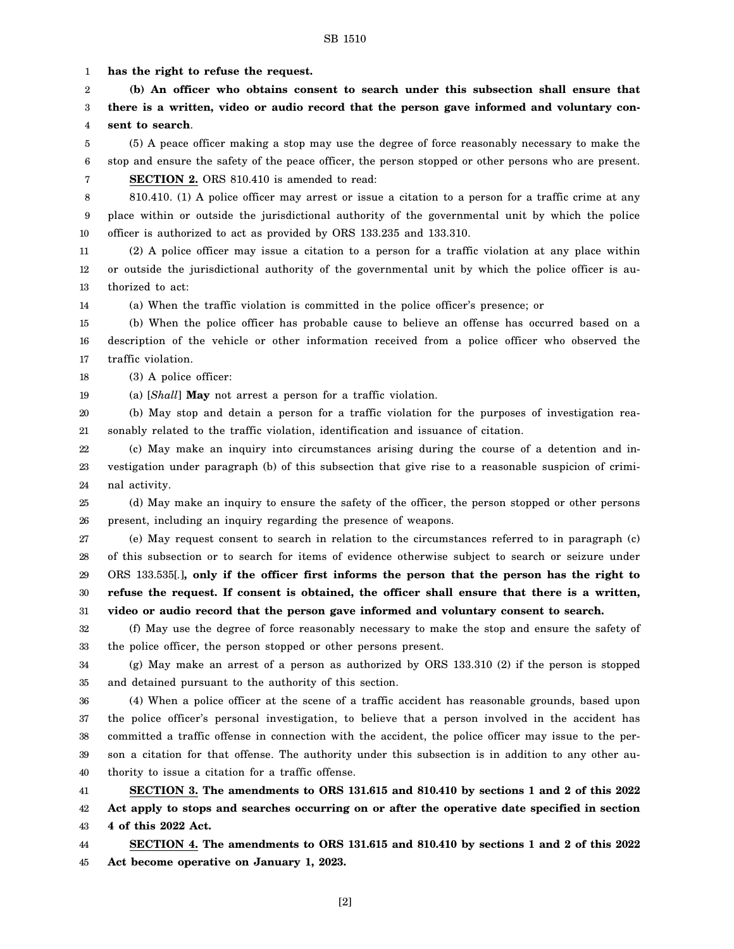1 **has the right to refuse the request.**

2 3 4 **(b) An officer who obtains consent to search under this subsection shall ensure that there is a written, video or audio record that the person gave informed and voluntary consent to search**.

5 6 (5) A peace officer making a stop may use the degree of force reasonably necessary to make the stop and ensure the safety of the peace officer, the person stopped or other persons who are present. **SECTION 2.** ORS 810.410 is amended to read:

7

810.410. (1) A police officer may arrest or issue a citation to a person for a traffic crime at any

8 9 10 place within or outside the jurisdictional authority of the governmental unit by which the police officer is authorized to act as provided by ORS 133.235 and 133.310.

11 12 13 (2) A police officer may issue a citation to a person for a traffic violation at any place within or outside the jurisdictional authority of the governmental unit by which the police officer is authorized to act:

14 (a) When the traffic violation is committed in the police officer's presence; or

15 16 17 (b) When the police officer has probable cause to believe an offense has occurred based on a description of the vehicle or other information received from a police officer who observed the traffic violation.

18 (3) A police officer:

19 (a) [*Shall*] **May** not arrest a person for a traffic violation.

20 21 (b) May stop and detain a person for a traffic violation for the purposes of investigation reasonably related to the traffic violation, identification and issuance of citation.

22 23 24 (c) May make an inquiry into circumstances arising during the course of a detention and investigation under paragraph (b) of this subsection that give rise to a reasonable suspicion of criminal activity.

25 26 (d) May make an inquiry to ensure the safety of the officer, the person stopped or other persons present, including an inquiry regarding the presence of weapons.

27 28 29 30 31 (e) May request consent to search in relation to the circumstances referred to in paragraph (c) of this subsection or to search for items of evidence otherwise subject to search or seizure under ORS 133.535[*.*]**, only if the officer first informs the person that the person has the right to refuse the request. If consent is obtained, the officer shall ensure that there is a written, video or audio record that the person gave informed and voluntary consent to search.**

32 33 (f) May use the degree of force reasonably necessary to make the stop and ensure the safety of the police officer, the person stopped or other persons present.

34 35 (g) May make an arrest of a person as authorized by ORS 133.310 (2) if the person is stopped and detained pursuant to the authority of this section.

36 37 38 39 40 (4) When a police officer at the scene of a traffic accident has reasonable grounds, based upon the police officer's personal investigation, to believe that a person involved in the accident has committed a traffic offense in connection with the accident, the police officer may issue to the person a citation for that offense. The authority under this subsection is in addition to any other authority to issue a citation for a traffic offense.

41 42 43 **SECTION 3. The amendments to ORS 131.615 and 810.410 by sections 1 and 2 of this 2022 Act apply to stops and searches occurring on or after the operative date specified in section 4 of this 2022 Act.**

44 45 **SECTION 4. The amendments to ORS 131.615 and 810.410 by sections 1 and 2 of this 2022 Act become operative on January 1, 2023.**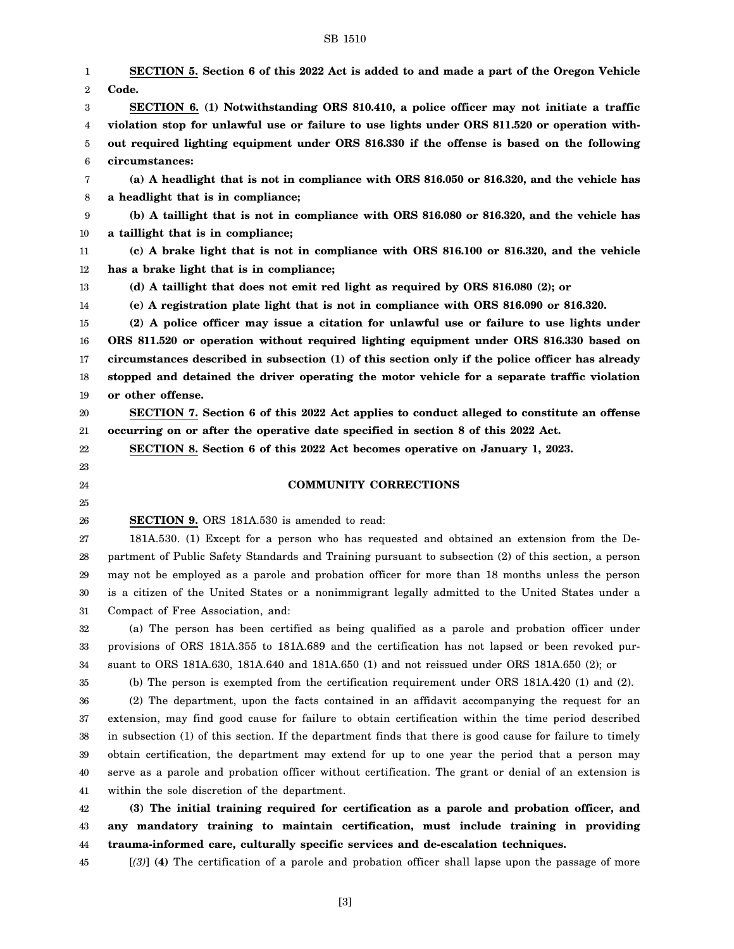1 2 3 4 5 6 7 8 9 10 11 12 13 14 15 16 17 18 19 20 21 22 23 24 25 26 27 28 29 30 31 32 33 34 35 36 37 38 39 40 41 42 43 44 45 **SECTION 5. Section 6 of this 2022 Act is added to and made a part of the Oregon Vehicle Code. SECTION 6. (1) Notwithstanding ORS 810.410, a police officer may not initiate a traffic violation stop for unlawful use or failure to use lights under ORS 811.520 or operation without required lighting equipment under ORS 816.330 if the offense is based on the following circumstances: (a) A headlight that is not in compliance with ORS 816.050 or 816.320, and the vehicle has a headlight that is in compliance; (b) A taillight that is not in compliance with ORS 816.080 or 816.320, and the vehicle has a taillight that is in compliance; (c) A brake light that is not in compliance with ORS 816.100 or 816.320, and the vehicle has a brake light that is in compliance; (d) A taillight that does not emit red light as required by ORS 816.080 (2); or (e) A registration plate light that is not in compliance with ORS 816.090 or 816.320. (2) A police officer may issue a citation for unlawful use or failure to use lights under ORS 811.520 or operation without required lighting equipment under ORS 816.330 based on circumstances described in subsection (1) of this section only if the police officer has already stopped and detained the driver operating the motor vehicle for a separate traffic violation or other offense. SECTION 7. Section 6 of this 2022 Act applies to conduct alleged to constitute an offense occurring on or after the operative date specified in section 8 of this 2022 Act. SECTION 8. Section 6 of this 2022 Act becomes operative on January 1, 2023. COMMUNITY CORRECTIONS SECTION 9.** ORS 181A.530 is amended to read: 181A.530. (1) Except for a person who has requested and obtained an extension from the Department of Public Safety Standards and Training pursuant to subsection (2) of this section, a person may not be employed as a parole and probation officer for more than 18 months unless the person is a citizen of the United States or a nonimmigrant legally admitted to the United States under a Compact of Free Association, and: (a) The person has been certified as being qualified as a parole and probation officer under provisions of ORS 181A.355 to 181A.689 and the certification has not lapsed or been revoked pursuant to ORS 181A.630, 181A.640 and 181A.650 (1) and not reissued under ORS 181A.650 (2); or (b) The person is exempted from the certification requirement under ORS 181A.420 (1) and (2). (2) The department, upon the facts contained in an affidavit accompanying the request for an extension, may find good cause for failure to obtain certification within the time period described in subsection (1) of this section. If the department finds that there is good cause for failure to timely obtain certification, the department may extend for up to one year the period that a person may serve as a parole and probation officer without certification. The grant or denial of an extension is within the sole discretion of the department. **(3) The initial training required for certification as a parole and probation officer, and any mandatory training to maintain certification, must include training in providing trauma-informed care, culturally specific services and de-escalation techniques.** [*(3)*] **(4)** The certification of a parole and probation officer shall lapse upon the passage of more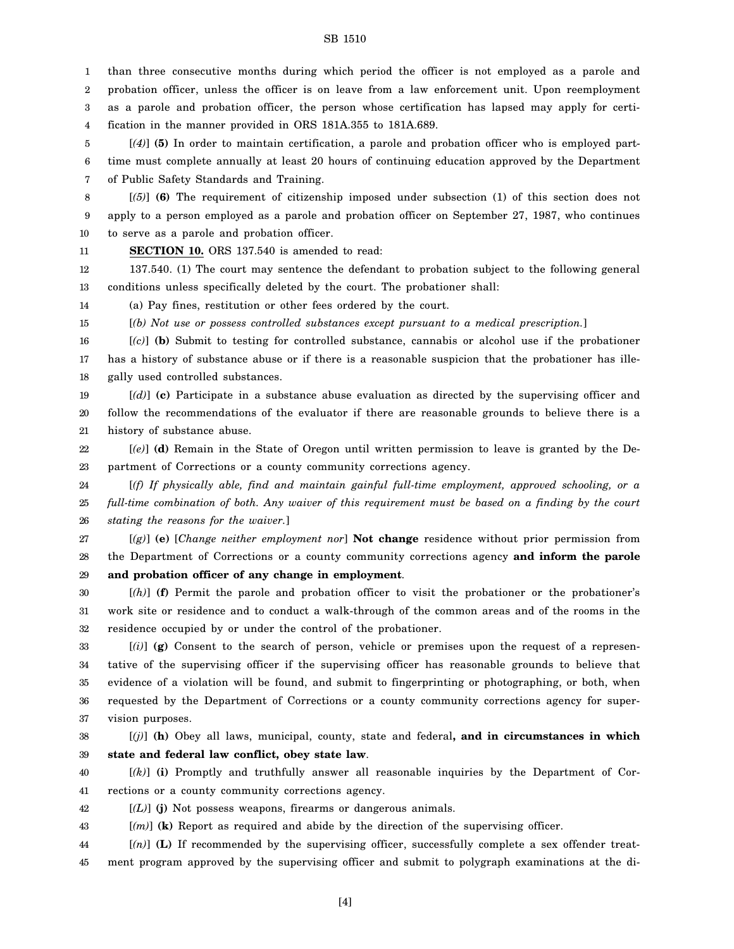1 2 3 4 than three consecutive months during which period the officer is not employed as a parole and probation officer, unless the officer is on leave from a law enforcement unit. Upon reemployment as a parole and probation officer, the person whose certification has lapsed may apply for certification in the manner provided in ORS 181A.355 to 181A.689.

5 6 7 [*(4)*] **(5)** In order to maintain certification, a parole and probation officer who is employed parttime must complete annually at least 20 hours of continuing education approved by the Department of Public Safety Standards and Training.

8 9 10 [*(5)*] **(6)** The requirement of citizenship imposed under subsection (1) of this section does not apply to a person employed as a parole and probation officer on September 27, 1987, who continues to serve as a parole and probation officer.

**SECTION 10.** ORS 137.540 is amended to read:

11

12 13 137.540. (1) The court may sentence the defendant to probation subject to the following general conditions unless specifically deleted by the court. The probationer shall:

14 (a) Pay fines, restitution or other fees ordered by the court.

15 [*(b) Not use or possess controlled substances except pursuant to a medical prescription.*]

16 17 18 [*(c)*] **(b)** Submit to testing for controlled substance, cannabis or alcohol use if the probationer has a history of substance abuse or if there is a reasonable suspicion that the probationer has illegally used controlled substances.

19 20 21 [*(d)*] **(c)** Participate in a substance abuse evaluation as directed by the supervising officer and follow the recommendations of the evaluator if there are reasonable grounds to believe there is a history of substance abuse.

22 23 [*(e)*] **(d)** Remain in the State of Oregon until written permission to leave is granted by the Department of Corrections or a county community corrections agency.

24 25 26 [*(f) If physically able, find and maintain gainful full-time employment, approved schooling, or a full-time combination of both. Any waiver of this requirement must be based on a finding by the court stating the reasons for the waiver.*]

27 28 29 [*(g)*] **(e)** [*Change neither employment nor*] **Not change** residence without prior permission from the Department of Corrections or a county community corrections agency **and inform the parole and probation officer of any change in employment**.

30 31 32 [*(h)*] **(f)** Permit the parole and probation officer to visit the probationer or the probationer's work site or residence and to conduct a walk-through of the common areas and of the rooms in the residence occupied by or under the control of the probationer.

33 34 35 36 37 [*(i)*] **(g)** Consent to the search of person, vehicle or premises upon the request of a representative of the supervising officer if the supervising officer has reasonable grounds to believe that evidence of a violation will be found, and submit to fingerprinting or photographing, or both, when requested by the Department of Corrections or a county community corrections agency for supervision purposes.

38 39 [*(j)*] **(h)** Obey all laws, municipal, county, state and federal**, and in circumstances in which state and federal law conflict, obey state law**.

40 41 [*(k)*] **(i)** Promptly and truthfully answer all reasonable inquiries by the Department of Corrections or a county community corrections agency.

42 [*(L)*] **(j)** Not possess weapons, firearms or dangerous animals.

43 [*(m)*] **(k)** Report as required and abide by the direction of the supervising officer.

44 45 [*(n)*] **(L)** If recommended by the supervising officer, successfully complete a sex offender treatment program approved by the supervising officer and submit to polygraph examinations at the di-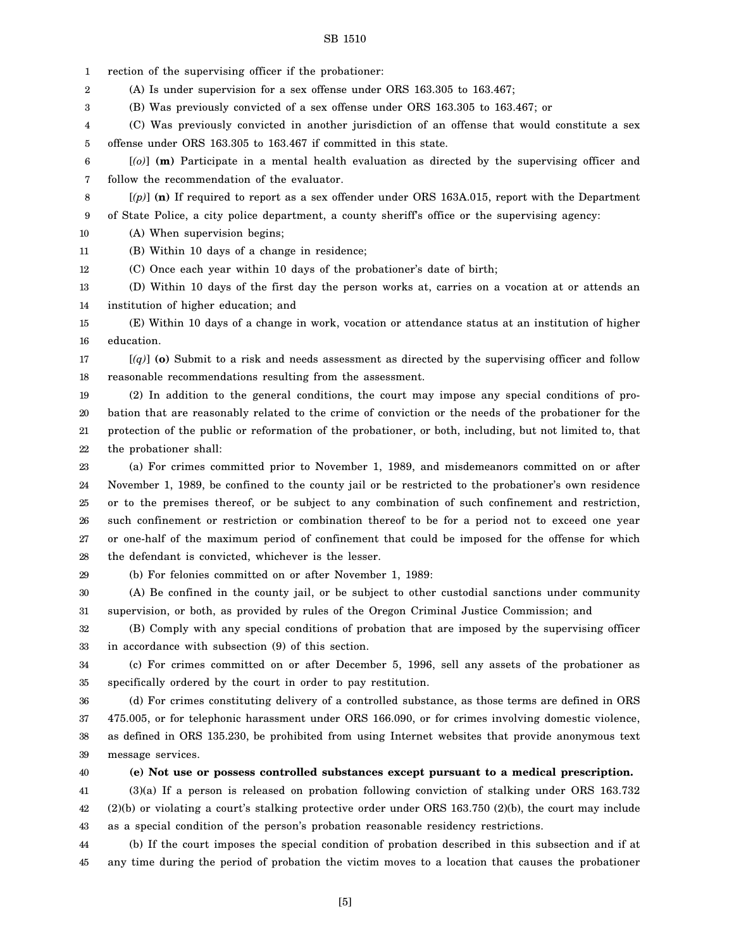1 rection of the supervising officer if the probationer:

2 (A) Is under supervision for a sex offense under ORS 163.305 to 163.467;

(B) Was previously convicted of a sex offense under ORS 163.305 to 163.467; or

4 5 (C) Was previously convicted in another jurisdiction of an offense that would constitute a sex offense under ORS 163.305 to 163.467 if committed in this state.

6 7 [*(o)*] **(m)** Participate in a mental health evaluation as directed by the supervising officer and follow the recommendation of the evaluator.

8 9 [*(p)*] **(n)** If required to report as a sex offender under ORS 163A.015, report with the Department of State Police, a city police department, a county sheriff's office or the supervising agency:

10 (A) When supervision begins;

11 (B) Within 10 days of a change in residence;

12 (C) Once each year within 10 days of the probationer's date of birth;

13 14 (D) Within 10 days of the first day the person works at, carries on a vocation at or attends an institution of higher education; and

15 16 (E) Within 10 days of a change in work, vocation or attendance status at an institution of higher education.

17 18 [*(q)*] **(o)** Submit to a risk and needs assessment as directed by the supervising officer and follow reasonable recommendations resulting from the assessment.

19 20 21 22 (2) In addition to the general conditions, the court may impose any special conditions of probation that are reasonably related to the crime of conviction or the needs of the probationer for the protection of the public or reformation of the probationer, or both, including, but not limited to, that the probationer shall:

23 24 25 26 27 28 (a) For crimes committed prior to November 1, 1989, and misdemeanors committed on or after November 1, 1989, be confined to the county jail or be restricted to the probationer's own residence or to the premises thereof, or be subject to any combination of such confinement and restriction, such confinement or restriction or combination thereof to be for a period not to exceed one year or one-half of the maximum period of confinement that could be imposed for the offense for which the defendant is convicted, whichever is the lesser.

29

3

(b) For felonies committed on or after November 1, 1989:

30 31 (A) Be confined in the county jail, or be subject to other custodial sanctions under community supervision, or both, as provided by rules of the Oregon Criminal Justice Commission; and

32 33 (B) Comply with any special conditions of probation that are imposed by the supervising officer in accordance with subsection (9) of this section.

34 35 (c) For crimes committed on or after December 5, 1996, sell any assets of the probationer as specifically ordered by the court in order to pay restitution.

36 37 38 39 (d) For crimes constituting delivery of a controlled substance, as those terms are defined in ORS 475.005, or for telephonic harassment under ORS 166.090, or for crimes involving domestic violence, as defined in ORS 135.230, be prohibited from using Internet websites that provide anonymous text message services.

40

# **(e) Not use or possess controlled substances except pursuant to a medical prescription.**

41 42 43 (3)(a) If a person is released on probation following conviction of stalking under ORS 163.732 (2)(b) or violating a court's stalking protective order under ORS 163.750 (2)(b), the court may include as a special condition of the person's probation reasonable residency restrictions.

44 45 (b) If the court imposes the special condition of probation described in this subsection and if at any time during the period of probation the victim moves to a location that causes the probationer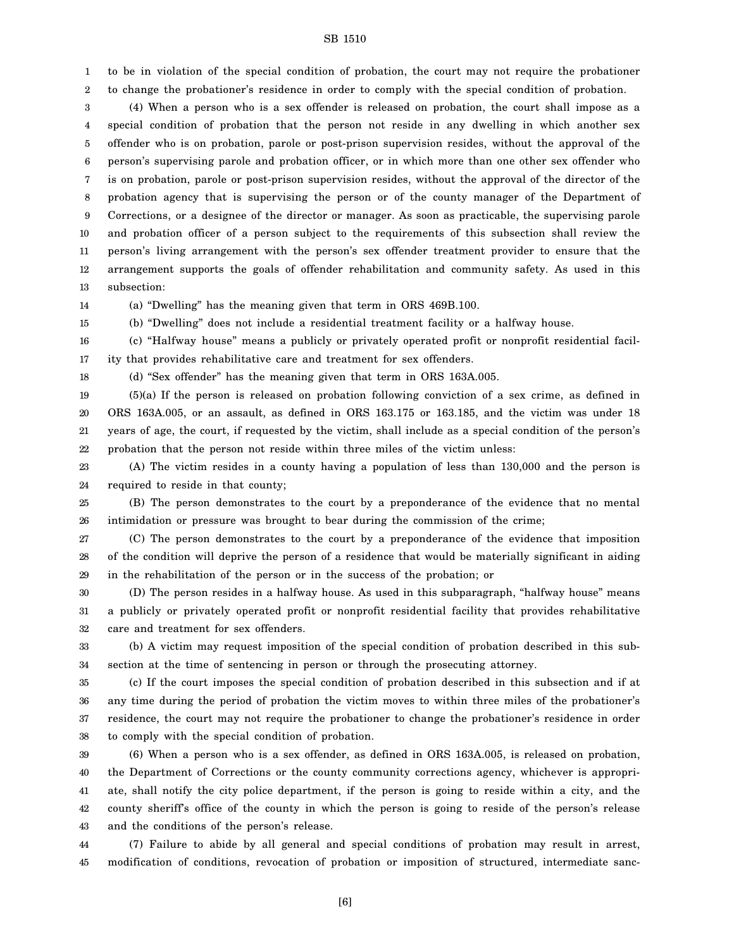1 2 to be in violation of the special condition of probation, the court may not require the probationer to change the probationer's residence in order to comply with the special condition of probation.

3 4 5 6 7 8 9 10 11 12 13 (4) When a person who is a sex offender is released on probation, the court shall impose as a special condition of probation that the person not reside in any dwelling in which another sex offender who is on probation, parole or post-prison supervision resides, without the approval of the person's supervising parole and probation officer, or in which more than one other sex offender who is on probation, parole or post-prison supervision resides, without the approval of the director of the probation agency that is supervising the person or of the county manager of the Department of Corrections, or a designee of the director or manager. As soon as practicable, the supervising parole and probation officer of a person subject to the requirements of this subsection shall review the person's living arrangement with the person's sex offender treatment provider to ensure that the arrangement supports the goals of offender rehabilitation and community safety. As used in this subsection:

14

(a) "Dwelling" has the meaning given that term in ORS 469B.100.

15 (b) "Dwelling" does not include a residential treatment facility or a halfway house.

16 17 (c) "Halfway house" means a publicly or privately operated profit or nonprofit residential facility that provides rehabilitative care and treatment for sex offenders.

18

(d) "Sex offender" has the meaning given that term in ORS 163A.005.

19 20 21 22 (5)(a) If the person is released on probation following conviction of a sex crime, as defined in ORS 163A.005, or an assault, as defined in ORS 163.175 or 163.185, and the victim was under 18 years of age, the court, if requested by the victim, shall include as a special condition of the person's probation that the person not reside within three miles of the victim unless:

23 24 (A) The victim resides in a county having a population of less than 130,000 and the person is required to reside in that county;

25 26 (B) The person demonstrates to the court by a preponderance of the evidence that no mental intimidation or pressure was brought to bear during the commission of the crime;

27 28 29 (C) The person demonstrates to the court by a preponderance of the evidence that imposition of the condition will deprive the person of a residence that would be materially significant in aiding in the rehabilitation of the person or in the success of the probation; or

30 31 32 (D) The person resides in a halfway house. As used in this subparagraph, "halfway house" means a publicly or privately operated profit or nonprofit residential facility that provides rehabilitative care and treatment for sex offenders.

33 34 (b) A victim may request imposition of the special condition of probation described in this subsection at the time of sentencing in person or through the prosecuting attorney.

35 36 37 38 (c) If the court imposes the special condition of probation described in this subsection and if at any time during the period of probation the victim moves to within three miles of the probationer's residence, the court may not require the probationer to change the probationer's residence in order to comply with the special condition of probation.

39 40 41 42 43 (6) When a person who is a sex offender, as defined in ORS 163A.005, is released on probation, the Department of Corrections or the county community corrections agency, whichever is appropriate, shall notify the city police department, if the person is going to reside within a city, and the county sheriff's office of the county in which the person is going to reside of the person's release and the conditions of the person's release.

44 45 (7) Failure to abide by all general and special conditions of probation may result in arrest, modification of conditions, revocation of probation or imposition of structured, intermediate sanc-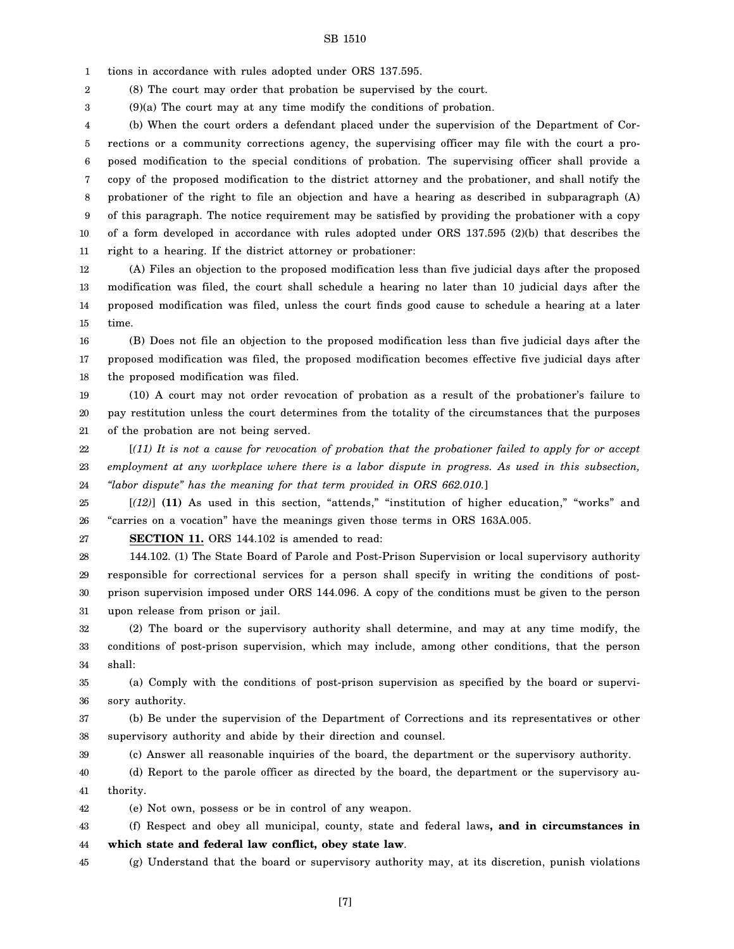1 tions in accordance with rules adopted under ORS 137.595.

2 (8) The court may order that probation be supervised by the court.

3 (9)(a) The court may at any time modify the conditions of probation.

4 5 6 7 8 9 10 11 (b) When the court orders a defendant placed under the supervision of the Department of Corrections or a community corrections agency, the supervising officer may file with the court a proposed modification to the special conditions of probation. The supervising officer shall provide a copy of the proposed modification to the district attorney and the probationer, and shall notify the probationer of the right to file an objection and have a hearing as described in subparagraph (A) of this paragraph. The notice requirement may be satisfied by providing the probationer with a copy of a form developed in accordance with rules adopted under ORS 137.595 (2)(b) that describes the right to a hearing. If the district attorney or probationer:

12 13 14 15 (A) Files an objection to the proposed modification less than five judicial days after the proposed modification was filed, the court shall schedule a hearing no later than 10 judicial days after the proposed modification was filed, unless the court finds good cause to schedule a hearing at a later time.

16 17 18 (B) Does not file an objection to the proposed modification less than five judicial days after the proposed modification was filed, the proposed modification becomes effective five judicial days after the proposed modification was filed.

19 20 21 (10) A court may not order revocation of probation as a result of the probationer's failure to pay restitution unless the court determines from the totality of the circumstances that the purposes of the probation are not being served.

22 23 24 [*(11) It is not a cause for revocation of probation that the probationer failed to apply for or accept employment at any workplace where there is a labor dispute in progress. As used in this subsection, "labor dispute" has the meaning for that term provided in ORS 662.010.*]

25 26 [*(12)*] **(11)** As used in this section, "attends," "institution of higher education," "works" and "carries on a vocation" have the meanings given those terms in ORS 163A.005.

27

39

**SECTION 11.** ORS 144.102 is amended to read:

28 29 30 31 144.102. (1) The State Board of Parole and Post-Prison Supervision or local supervisory authority responsible for correctional services for a person shall specify in writing the conditions of postprison supervision imposed under ORS 144.096. A copy of the conditions must be given to the person upon release from prison or jail.

32 33 34 (2) The board or the supervisory authority shall determine, and may at any time modify, the conditions of post-prison supervision, which may include, among other conditions, that the person shall:

35 36 (a) Comply with the conditions of post-prison supervision as specified by the board or supervisory authority.

37 38 (b) Be under the supervision of the Department of Corrections and its representatives or other supervisory authority and abide by their direction and counsel.

(c) Answer all reasonable inquiries of the board, the department or the supervisory authority.

40 41 (d) Report to the parole officer as directed by the board, the department or the supervisory authority.

42 (e) Not own, possess or be in control of any weapon.

43 44 (f) Respect and obey all municipal, county, state and federal laws**, and in circumstances in which state and federal law conflict, obey state law**.

45 (g) Understand that the board or supervisory authority may, at its discretion, punish violations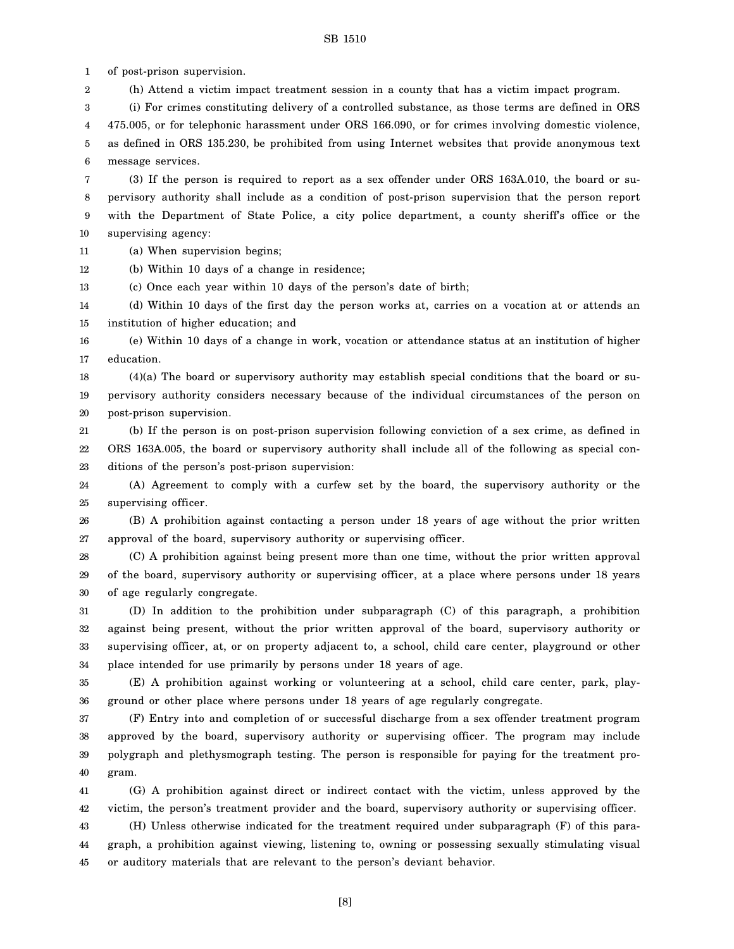1 of post-prison supervision.

2 (h) Attend a victim impact treatment session in a county that has a victim impact program.

3 4 5 6 (i) For crimes constituting delivery of a controlled substance, as those terms are defined in ORS 475.005, or for telephonic harassment under ORS 166.090, or for crimes involving domestic violence, as defined in ORS 135.230, be prohibited from using Internet websites that provide anonymous text message services.

7 8 9 10 (3) If the person is required to report as a sex offender under ORS 163A.010, the board or supervisory authority shall include as a condition of post-prison supervision that the person report with the Department of State Police, a city police department, a county sheriff's office or the supervising agency:

11 (a) When supervision begins;

12 (b) Within 10 days of a change in residence;

13 (c) Once each year within 10 days of the person's date of birth;

14 15 (d) Within 10 days of the first day the person works at, carries on a vocation at or attends an institution of higher education; and

16 17 (e) Within 10 days of a change in work, vocation or attendance status at an institution of higher education.

18 19 20 (4)(a) The board or supervisory authority may establish special conditions that the board or supervisory authority considers necessary because of the individual circumstances of the person on post-prison supervision.

21 22 23 (b) If the person is on post-prison supervision following conviction of a sex crime, as defined in ORS 163A.005, the board or supervisory authority shall include all of the following as special conditions of the person's post-prison supervision:

24 25 (A) Agreement to comply with a curfew set by the board, the supervisory authority or the supervising officer.

26 27 (B) A prohibition against contacting a person under 18 years of age without the prior written approval of the board, supervisory authority or supervising officer.

28 29 30 (C) A prohibition against being present more than one time, without the prior written approval of the board, supervisory authority or supervising officer, at a place where persons under 18 years of age regularly congregate.

31 32 33 34 (D) In addition to the prohibition under subparagraph (C) of this paragraph, a prohibition against being present, without the prior written approval of the board, supervisory authority or supervising officer, at, or on property adjacent to, a school, child care center, playground or other place intended for use primarily by persons under 18 years of age.

35 36 (E) A prohibition against working or volunteering at a school, child care center, park, playground or other place where persons under 18 years of age regularly congregate.

37 38 39 40 (F) Entry into and completion of or successful discharge from a sex offender treatment program approved by the board, supervisory authority or supervising officer. The program may include polygraph and plethysmograph testing. The person is responsible for paying for the treatment program.

41 42 43 (G) A prohibition against direct or indirect contact with the victim, unless approved by the victim, the person's treatment provider and the board, supervisory authority or supervising officer. (H) Unless otherwise indicated for the treatment required under subparagraph (F) of this para-

44 45 graph, a prohibition against viewing, listening to, owning or possessing sexually stimulating visual or auditory materials that are relevant to the person's deviant behavior.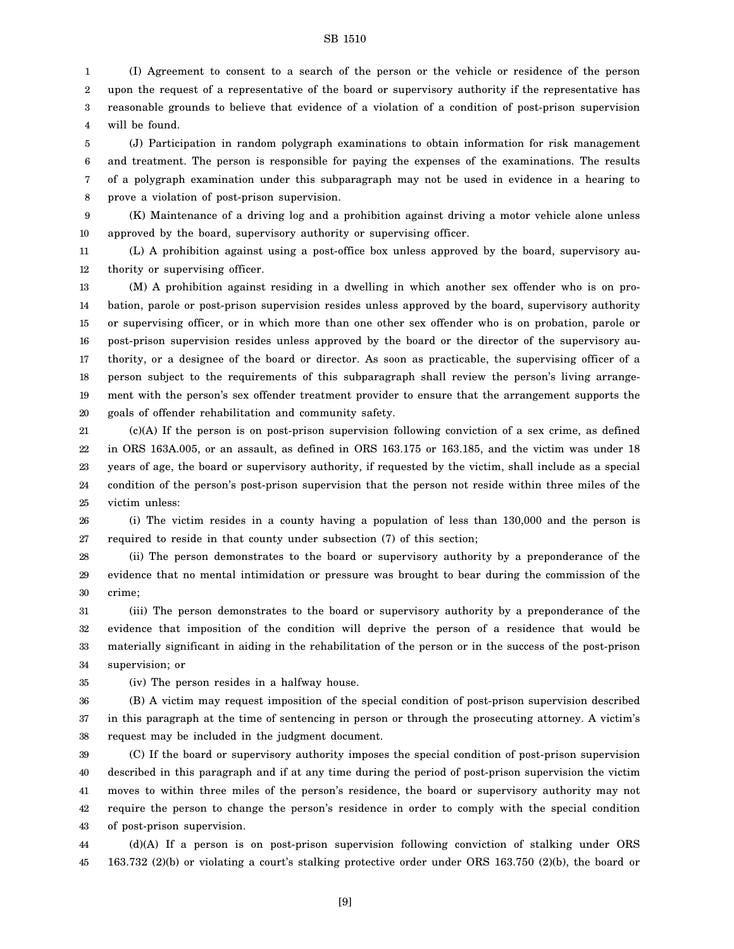1 2 3 4 (I) Agreement to consent to a search of the person or the vehicle or residence of the person upon the request of a representative of the board or supervisory authority if the representative has reasonable grounds to believe that evidence of a violation of a condition of post-prison supervision will be found.

5 6 7 8 (J) Participation in random polygraph examinations to obtain information for risk management and treatment. The person is responsible for paying the expenses of the examinations. The results of a polygraph examination under this subparagraph may not be used in evidence in a hearing to prove a violation of post-prison supervision.

9 10 (K) Maintenance of a driving log and a prohibition against driving a motor vehicle alone unless approved by the board, supervisory authority or supervising officer.

11 12 (L) A prohibition against using a post-office box unless approved by the board, supervisory authority or supervising officer.

13 14 15 16 17 18 19 20 (M) A prohibition against residing in a dwelling in which another sex offender who is on probation, parole or post-prison supervision resides unless approved by the board, supervisory authority or supervising officer, or in which more than one other sex offender who is on probation, parole or post-prison supervision resides unless approved by the board or the director of the supervisory authority, or a designee of the board or director. As soon as practicable, the supervising officer of a person subject to the requirements of this subparagraph shall review the person's living arrangement with the person's sex offender treatment provider to ensure that the arrangement supports the goals of offender rehabilitation and community safety.

21 22 23 24 25 (c)(A) If the person is on post-prison supervision following conviction of a sex crime, as defined in ORS 163A.005, or an assault, as defined in ORS 163.175 or 163.185, and the victim was under 18 years of age, the board or supervisory authority, if requested by the victim, shall include as a special condition of the person's post-prison supervision that the person not reside within three miles of the victim unless:

26 27 (i) The victim resides in a county having a population of less than 130,000 and the person is required to reside in that county under subsection (7) of this section;

28 29 30 (ii) The person demonstrates to the board or supervisory authority by a preponderance of the evidence that no mental intimidation or pressure was brought to bear during the commission of the crime;

31 32 33 34 (iii) The person demonstrates to the board or supervisory authority by a preponderance of the evidence that imposition of the condition will deprive the person of a residence that would be materially significant in aiding in the rehabilitation of the person or in the success of the post-prison supervision; or

35

(iv) The person resides in a halfway house.

36 37 38 (B) A victim may request imposition of the special condition of post-prison supervision described in this paragraph at the time of sentencing in person or through the prosecuting attorney. A victim's request may be included in the judgment document.

39 40 41 42 43 (C) If the board or supervisory authority imposes the special condition of post-prison supervision described in this paragraph and if at any time during the period of post-prison supervision the victim moves to within three miles of the person's residence, the board or supervisory authority may not require the person to change the person's residence in order to comply with the special condition of post-prison supervision.

44 45 (d)(A) If a person is on post-prison supervision following conviction of stalking under ORS 163.732 (2)(b) or violating a court's stalking protective order under ORS 163.750 (2)(b), the board or

[9]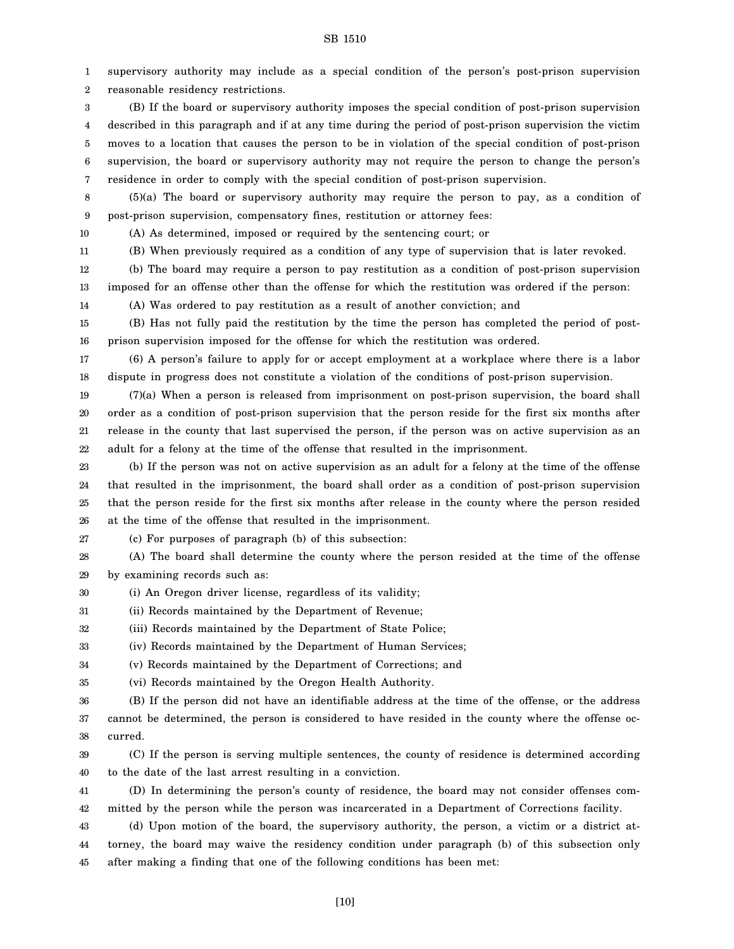supervisory authority may include as a special condition of the person's post-prison supervision reasonable residency restrictions. (B) If the board or supervisory authority imposes the special condition of post-prison supervision described in this paragraph and if at any time during the period of post-prison supervision the victim moves to a location that causes the person to be in violation of the special condition of post-prison supervision, the board or supervisory authority may not require the person to change the person's

SB 1510

7 residence in order to comply with the special condition of post-prison supervision.

8 9 (5)(a) The board or supervisory authority may require the person to pay, as a condition of post-prison supervision, compensatory fines, restitution or attorney fees:

(A) As determined, imposed or required by the sentencing court; or

10 11

12

(b) The board may require a person to pay restitution as a condition of post-prison supervision

(B) When previously required as a condition of any type of supervision that is later revoked.

13 imposed for an offense other than the offense for which the restitution was ordered if the person:

14 (A) Was ordered to pay restitution as a result of another conviction; and

15 16 (B) Has not fully paid the restitution by the time the person has completed the period of postprison supervision imposed for the offense for which the restitution was ordered.

17 18 (6) A person's failure to apply for or accept employment at a workplace where there is a labor dispute in progress does not constitute a violation of the conditions of post-prison supervision.

19 20 21 22 (7)(a) When a person is released from imprisonment on post-prison supervision, the board shall order as a condition of post-prison supervision that the person reside for the first six months after release in the county that last supervised the person, if the person was on active supervision as an adult for a felony at the time of the offense that resulted in the imprisonment.

23 24 25 26 (b) If the person was not on active supervision as an adult for a felony at the time of the offense that resulted in the imprisonment, the board shall order as a condition of post-prison supervision that the person reside for the first six months after release in the county where the person resided at the time of the offense that resulted in the imprisonment.

27

(c) For purposes of paragraph (b) of this subsection:

28 29 (A) The board shall determine the county where the person resided at the time of the offense by examining records such as:

30 (i) An Oregon driver license, regardless of its validity;

31 (ii) Records maintained by the Department of Revenue;

32 (iii) Records maintained by the Department of State Police;

33 (iv) Records maintained by the Department of Human Services;

34 (v) Records maintained by the Department of Corrections; and

35 (vi) Records maintained by the Oregon Health Authority.

36 37 38 (B) If the person did not have an identifiable address at the time of the offense, or the address cannot be determined, the person is considered to have resided in the county where the offense occurred.

39 40 (C) If the person is serving multiple sentences, the county of residence is determined according to the date of the last arrest resulting in a conviction.

41 42 (D) In determining the person's county of residence, the board may not consider offenses committed by the person while the person was incarcerated in a Department of Corrections facility.

43 44 45 (d) Upon motion of the board, the supervisory authority, the person, a victim or a district attorney, the board may waive the residency condition under paragraph (b) of this subsection only after making a finding that one of the following conditions has been met: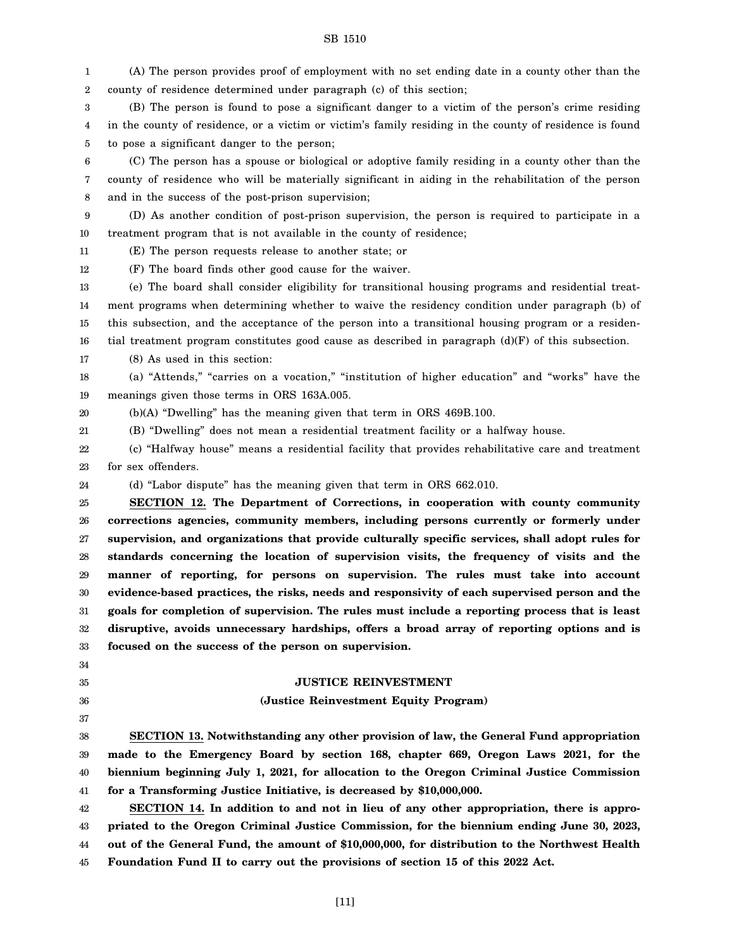1 2 (A) The person provides proof of employment with no set ending date in a county other than the county of residence determined under paragraph (c) of this section;

3 4 5 (B) The person is found to pose a significant danger to a victim of the person's crime residing in the county of residence, or a victim or victim's family residing in the county of residence is found to pose a significant danger to the person;

6 7 8 (C) The person has a spouse or biological or adoptive family residing in a county other than the county of residence who will be materially significant in aiding in the rehabilitation of the person and in the success of the post-prison supervision;

9 10 (D) As another condition of post-prison supervision, the person is required to participate in a treatment program that is not available in the county of residence;

11 (E) The person requests release to another state; or

12 (F) The board finds other good cause for the waiver.

13 14 15 16 (e) The board shall consider eligibility for transitional housing programs and residential treatment programs when determining whether to waive the residency condition under paragraph (b) of this subsection, and the acceptance of the person into a transitional housing program or a residential treatment program constitutes good cause as described in paragraph  $(d)(F)$  of this subsection.

17 (8) As used in this section:

18 19 (a) "Attends," "carries on a vocation," "institution of higher education" and "works" have the meanings given those terms in ORS 163A.005.

20 (b)(A) "Dwelling" has the meaning given that term in ORS 469B.100.

21 (B) "Dwelling" does not mean a residential treatment facility or a halfway house.

22 23 (c) "Halfway house" means a residential facility that provides rehabilitative care and treatment for sex offenders.

24 (d) "Labor dispute" has the meaning given that term in ORS 662.010.

25 26 27 28 29 30 31 32 33 **SECTION 12. The Department of Corrections, in cooperation with county community corrections agencies, community members, including persons currently or formerly under supervision, and organizations that provide culturally specific services, shall adopt rules for standards concerning the location of supervision visits, the frequency of visits and the manner of reporting, for persons on supervision. The rules must take into account evidence-based practices, the risks, needs and responsivity of each supervised person and the goals for completion of supervision. The rules must include a reporting process that is least disruptive, avoids unnecessary hardships, offers a broad array of reporting options and is focused on the success of the person on supervision.**

#### **JUSTICE REINVESTMENT**

#### **(Justice Reinvestment Equity Program)**

38 39 40 41 **SECTION 13. Notwithstanding any other provision of law, the General Fund appropriation made to the Emergency Board by section 168, chapter 669, Oregon Laws 2021, for the biennium beginning July 1, 2021, for allocation to the Oregon Criminal Justice Commission for a Transforming Justice Initiative, is decreased by \$10,000,000.**

42 43 44 45 **SECTION 14. In addition to and not in lieu of any other appropriation, there is appropriated to the Oregon Criminal Justice Commission, for the biennium ending June 30, 2023, out of the General Fund, the amount of \$10,000,000, for distribution to the Northwest Health Foundation Fund II to carry out the provisions of section 15 of this 2022 Act.**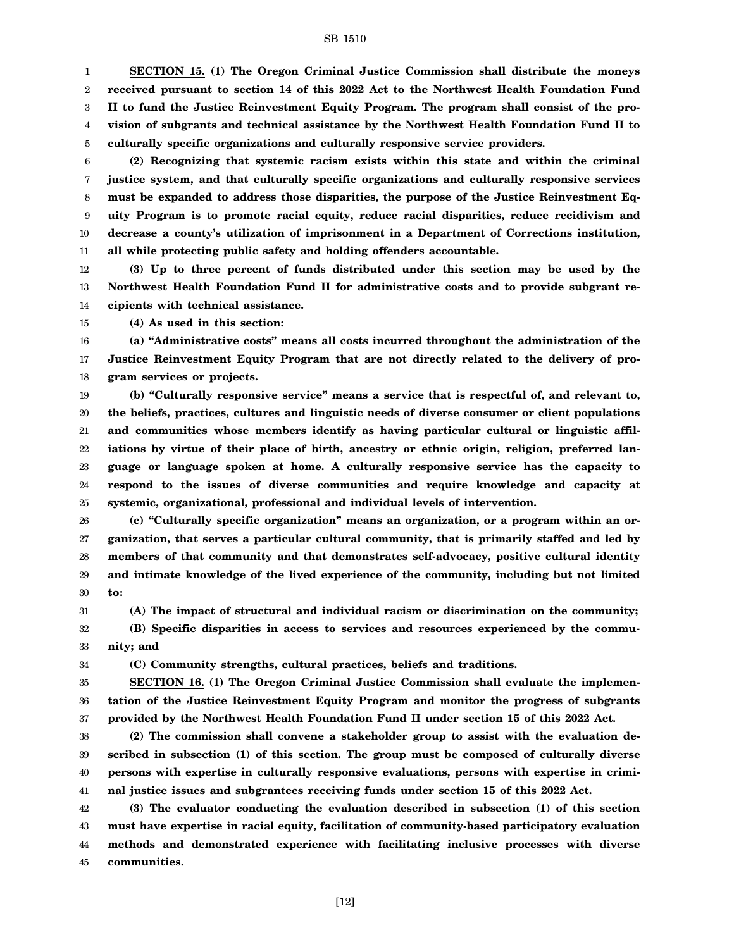1 2 3 4 5 **SECTION 15. (1) The Oregon Criminal Justice Commission shall distribute the moneys received pursuant to section 14 of this 2022 Act to the Northwest Health Foundation Fund II to fund the Justice Reinvestment Equity Program. The program shall consist of the provision of subgrants and technical assistance by the Northwest Health Foundation Fund II to culturally specific organizations and culturally responsive service providers.**

6 7 8 9 10 11 **(2) Recognizing that systemic racism exists within this state and within the criminal justice system, and that culturally specific organizations and culturally responsive services must be expanded to address those disparities, the purpose of the Justice Reinvestment Equity Program is to promote racial equity, reduce racial disparities, reduce recidivism and decrease a county's utilization of imprisonment in a Department of Corrections institution, all while protecting public safety and holding offenders accountable.**

12 13 14 **(3) Up to three percent of funds distributed under this section may be used by the Northwest Health Foundation Fund II for administrative costs and to provide subgrant recipients with technical assistance.**

15 **(4) As used in this section:**

16 17 18 **(a) "Administrative costs" means all costs incurred throughout the administration of the Justice Reinvestment Equity Program that are not directly related to the delivery of program services or projects.**

19 20 21 22 23 24 25 **(b) "Culturally responsive service" means a service that is respectful of, and relevant to, the beliefs, practices, cultures and linguistic needs of diverse consumer or client populations and communities whose members identify as having particular cultural or linguistic affiliations by virtue of their place of birth, ancestry or ethnic origin, religion, preferred language or language spoken at home. A culturally responsive service has the capacity to respond to the issues of diverse communities and require knowledge and capacity at systemic, organizational, professional and individual levels of intervention.**

26 27 28 29 30 **(c) "Culturally specific organization" means an organization, or a program within an organization, that serves a particular cultural community, that is primarily staffed and led by members of that community and that demonstrates self-advocacy, positive cultural identity and intimate knowledge of the lived experience of the community, including but not limited to:**

31 32 **(A) The impact of structural and individual racism or discrimination on the community; (B) Specific disparities in access to services and resources experienced by the community; and**

33

34

**(C) Community strengths, cultural practices, beliefs and traditions.**

35 36 37 **SECTION 16. (1) The Oregon Criminal Justice Commission shall evaluate the implementation of the Justice Reinvestment Equity Program and monitor the progress of subgrants provided by the Northwest Health Foundation Fund II under section 15 of this 2022 Act.**

38 39 40 41 **(2) The commission shall convene a stakeholder group to assist with the evaluation described in subsection (1) of this section. The group must be composed of culturally diverse persons with expertise in culturally responsive evaluations, persons with expertise in criminal justice issues and subgrantees receiving funds under section 15 of this 2022 Act.**

42 43 44 45 **(3) The evaluator conducting the evaluation described in subsection (1) of this section must have expertise in racial equity, facilitation of community-based participatory evaluation methods and demonstrated experience with facilitating inclusive processes with diverse communities.**

[12]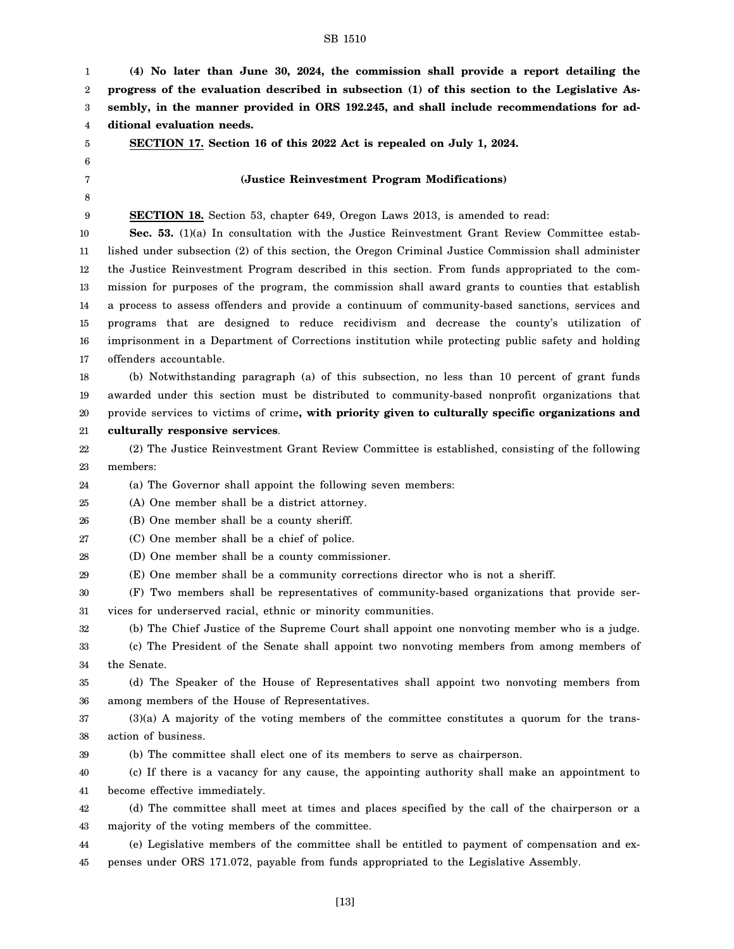**(4) No later than June 30, 2024, the commission shall provide a report detailing the progress of the evaluation described in subsection (1) of this section to the Legislative As-**

**sembly, in the manner provided in ORS 192.245, and shall include recommendations for additional evaluation needs. SECTION 17. Section 16 of this 2022 Act is repealed on July 1, 2024. (Justice Reinvestment Program Modifications) SECTION 18.** Section 53, chapter 649, Oregon Laws 2013, is amended to read: **Sec. 53.** (1)(a) In consultation with the Justice Reinvestment Grant Review Committee established under subsection (2) of this section, the Oregon Criminal Justice Commission shall administer the Justice Reinvestment Program described in this section. From funds appropriated to the commission for purposes of the program, the commission shall award grants to counties that establish a process to assess offenders and provide a continuum of community-based sanctions, services and programs that are designed to reduce recidivism and decrease the county's utilization of imprisonment in a Department of Corrections institution while protecting public safety and holding offenders accountable. (b) Notwithstanding paragraph (a) of this subsection, no less than 10 percent of grant funds awarded under this section must be distributed to community-based nonprofit organizations that provide services to victims of crime**, with priority given to culturally specific organizations and culturally responsive services**. (2) The Justice Reinvestment Grant Review Committee is established, consisting of the following members: (a) The Governor shall appoint the following seven members: (A) One member shall be a district attorney.

25

26 (B) One member shall be a county sheriff.

27 (C) One member shall be a chief of police.

28 (D) One member shall be a county commissioner.

29 (E) One member shall be a community corrections director who is not a sheriff.

30 31 (F) Two members shall be representatives of community-based organizations that provide services for underserved racial, ethnic or minority communities.

32 33 34 (b) The Chief Justice of the Supreme Court shall appoint one nonvoting member who is a judge. (c) The President of the Senate shall appoint two nonvoting members from among members of the Senate.

35 36 (d) The Speaker of the House of Representatives shall appoint two nonvoting members from among members of the House of Representatives.

37 38 (3)(a) A majority of the voting members of the committee constitutes a quorum for the transaction of business.

39 (b) The committee shall elect one of its members to serve as chairperson.

40 41 (c) If there is a vacancy for any cause, the appointing authority shall make an appointment to become effective immediately.

42 43 (d) The committee shall meet at times and places specified by the call of the chairperson or a majority of the voting members of the committee.

44 45 (e) Legislative members of the committee shall be entitled to payment of compensation and expenses under ORS 171.072, payable from funds appropriated to the Legislative Assembly.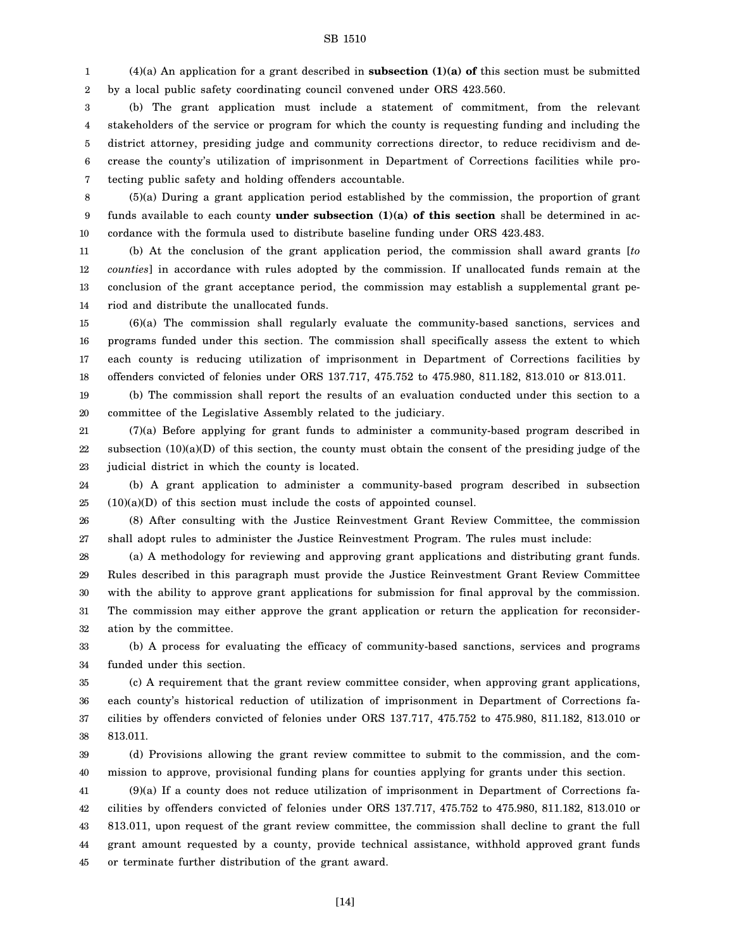1 2 (4)(a) An application for a grant described in **subsection (1)(a) of** this section must be submitted by a local public safety coordinating council convened under ORS 423.560.

3 4 5 6 7 (b) The grant application must include a statement of commitment, from the relevant stakeholders of the service or program for which the county is requesting funding and including the district attorney, presiding judge and community corrections director, to reduce recidivism and decrease the county's utilization of imprisonment in Department of Corrections facilities while protecting public safety and holding offenders accountable.

8 9 10 (5)(a) During a grant application period established by the commission, the proportion of grant funds available to each county **under subsection (1)(a) of this section** shall be determined in accordance with the formula used to distribute baseline funding under ORS 423.483.

11 12 13 14 (b) At the conclusion of the grant application period, the commission shall award grants [*to counties*] in accordance with rules adopted by the commission. If unallocated funds remain at the conclusion of the grant acceptance period, the commission may establish a supplemental grant period and distribute the unallocated funds.

15 16 17 18 (6)(a) The commission shall regularly evaluate the community-based sanctions, services and programs funded under this section. The commission shall specifically assess the extent to which each county is reducing utilization of imprisonment in Department of Corrections facilities by offenders convicted of felonies under ORS 137.717, 475.752 to 475.980, 811.182, 813.010 or 813.011.

19 20 (b) The commission shall report the results of an evaluation conducted under this section to a committee of the Legislative Assembly related to the judiciary.

21 22 23 (7)(a) Before applying for grant funds to administer a community-based program described in subsection (10)(a)(D) of this section, the county must obtain the consent of the presiding judge of the judicial district in which the county is located.

24 25 (b) A grant application to administer a community-based program described in subsection  $(10)(a)(D)$  of this section must include the costs of appointed counsel.

26 27 (8) After consulting with the Justice Reinvestment Grant Review Committee, the commission shall adopt rules to administer the Justice Reinvestment Program. The rules must include:

28 29 30 31 32 (a) A methodology for reviewing and approving grant applications and distributing grant funds. Rules described in this paragraph must provide the Justice Reinvestment Grant Review Committee with the ability to approve grant applications for submission for final approval by the commission. The commission may either approve the grant application or return the application for reconsideration by the committee.

33 34 (b) A process for evaluating the efficacy of community-based sanctions, services and programs funded under this section.

35 36 37 38 (c) A requirement that the grant review committee consider, when approving grant applications, each county's historical reduction of utilization of imprisonment in Department of Corrections facilities by offenders convicted of felonies under ORS 137.717, 475.752 to 475.980, 811.182, 813.010 or 813.011.

39 40 (d) Provisions allowing the grant review committee to submit to the commission, and the commission to approve, provisional funding plans for counties applying for grants under this section.

41 42 43 44 45 (9)(a) If a county does not reduce utilization of imprisonment in Department of Corrections facilities by offenders convicted of felonies under ORS 137.717, 475.752 to 475.980, 811.182, 813.010 or 813.011, upon request of the grant review committee, the commission shall decline to grant the full grant amount requested by a county, provide technical assistance, withhold approved grant funds or terminate further distribution of the grant award.

[14]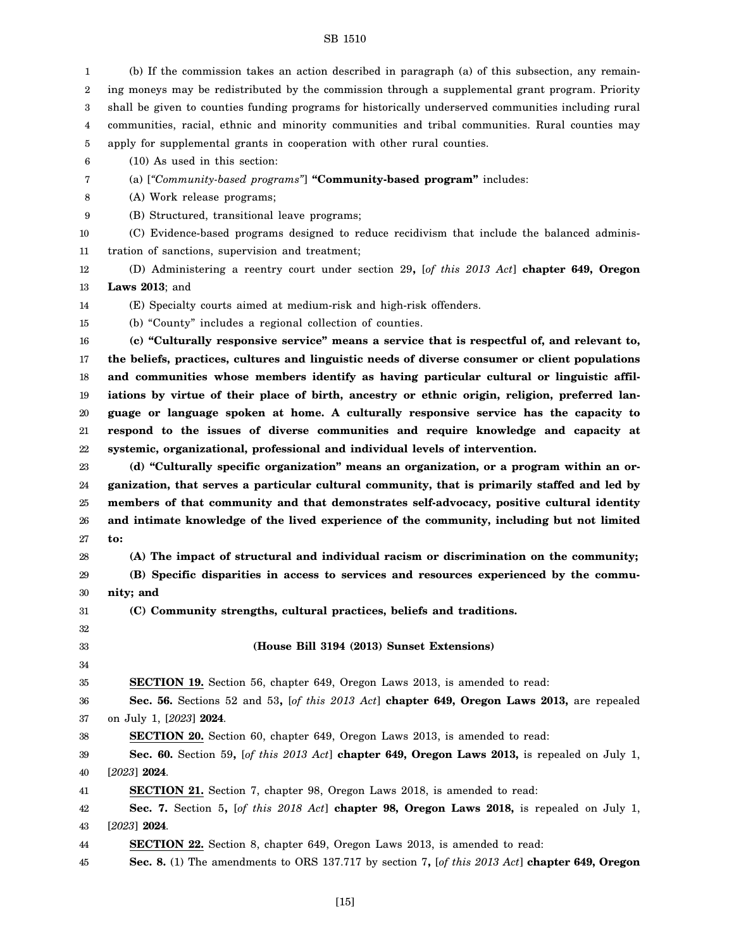| 1  | (b) If the commission takes an action described in paragraph (a) of this subsection, any remain-     |
|----|------------------------------------------------------------------------------------------------------|
| 2  | ing moneys may be redistributed by the commission through a supplemental grant program. Priority     |
| 3  | shall be given to counties funding programs for historically underserved communities including rural |
| 4  | communities, racial, ethnic and minority communities and tribal communities. Rural counties may      |
| 5  | apply for supplemental grants in cooperation with other rural counties.                              |
| 6  | $(10)$ As used in this section:                                                                      |
| 7  | (a) ["Community-based programs"] "Community-based program" includes:                                 |
| 8  | (A) Work release programs;                                                                           |
| 9  | (B) Structured, transitional leave programs;                                                         |
| 10 | (C) Evidence-based programs designed to reduce recidivism that include the balanced adminis-         |
| 11 | tration of sanctions, supervision and treatment;                                                     |
| 12 | (D) Administering a reentry court under section 29, [of this 2013 Act] chapter 649, Oregon           |
| 13 | Laws $2013$ ; and                                                                                    |
| 14 | (E) Specialty courts aimed at medium-risk and high-risk offenders.                                   |
| 15 | (b) "County" includes a regional collection of counties.                                             |
| 16 | (c) "Culturally responsive service" means a service that is respectful of, and relevant to,          |
| 17 | the beliefs, practices, cultures and linguistic needs of diverse consumer or client populations      |
| 18 | and communities whose members identify as having particular cultural or linguistic affil-            |
| 19 | iations by virtue of their place of birth, ancestry or ethnic origin, religion, preferred lan-       |
| 20 | guage or language spoken at home. A culturally responsive service has the capacity to                |
| 21 | respond to the issues of diverse communities and require knowledge and capacity at                   |
| 22 | systemic, organizational, professional and individual levels of intervention.                        |
| 23 | (d) "Culturally specific organization" means an organization, or a program within an or-             |
| 24 | ganization, that serves a particular cultural community, that is primarily staffed and led by        |
| 25 | members of that community and that demonstrates self-advocacy, positive cultural identity            |
| 26 | and intimate knowledge of the lived experience of the community, including but not limited           |
| 27 | to:                                                                                                  |
| 28 | (A) The impact of structural and individual racism or discrimination on the community;               |
| 29 | (B) Specific disparities in access to services and resources experienced by the commu-               |
| 30 | nity; and                                                                                            |
| 31 | (C) Community strengths, cultural practices, beliefs and traditions.                                 |
| 32 |                                                                                                      |
| 33 | (House Bill 3194 (2013) Sunset Extensions)                                                           |
| 34 |                                                                                                      |
| 35 | <b>SECTION 19.</b> Section 56, chapter 649, Oregon Laws 2013, is amended to read:                    |
| 36 | Sec. 56. Sections 52 and 53, [of this 2013 Act] chapter 649, Oregon Laws 2013, are repealed          |
| 37 | on July 1, [2023] 2024.                                                                              |
| 38 | <b>SECTION 20.</b> Section 60, chapter 649, Oregon Laws 2013, is amended to read:                    |
| 39 | Sec. 60. Section 59, [of this 2013 Act] chapter 649, Oregon Laws 2013, is repealed on July 1,        |
| 40 | $[2023]$ 2024.                                                                                       |
| 41 | <b>SECTION 21.</b> Section 7, chapter 98, Oregon Laws 2018, is amended to read:                      |
| 42 | Sec. 7. Section 5, [of this 2018 Act] chapter 98, Oregon Laws 2018, is repealed on July 1,           |
| 43 | $[2023]$ 2024.                                                                                       |
| 44 | <b>SECTION 22.</b> Section 8, chapter 649, Oregon Laws 2013, is amended to read:                     |
| 45 | Sec. 8. (1) The amendments to ORS 137.717 by section 7, [of this 2013 Act] chapter 649, Oregon       |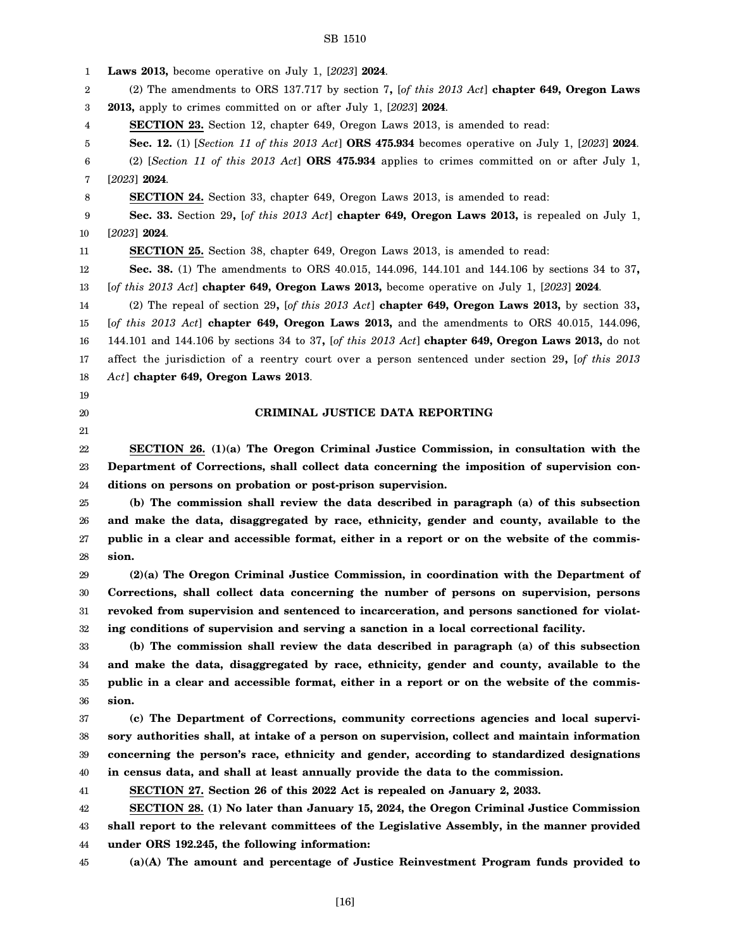| 1        | <b>Laws 2013,</b> become operative on July 1, [2023] 2024.                                                                          |
|----------|-------------------------------------------------------------------------------------------------------------------------------------|
| 2        | (2) The amendments to ORS 137.717 by section 7, $[of this 2013 Act]$ chapter 649, Oregon Laws                                       |
| 3        | 2013, apply to crimes committed on or after July 1, [2023] 2024.                                                                    |
| 4        | <b>SECTION 23.</b> Section 12, chapter 649, Oregon Laws 2013, is amended to read:                                                   |
| 5        | Sec. 12. (1) [Section 11 of this 2013 Act] ORS 475.934 becomes operative on July 1, [2023] 2024.                                    |
| 6        | (2) [Section 11 of this 2013 Act] ORS 475.934 applies to crimes committed on or after July 1,                                       |
| 7        | $[2023]$ 2024.                                                                                                                      |
| 8        | <b>SECTION 24.</b> Section 33, chapter 649, Oregon Laws 2013, is amended to read:                                                   |
| 9        | Sec. 33. Section 29, [of this 2013 Act] chapter 649, Oregon Laws 2013, is repealed on July 1,                                       |
| 10       | $[2023]$ 2024.                                                                                                                      |
| 11       | <b>SECTION 25.</b> Section 38, chapter 649, Oregon Laws 2013, is amended to read:                                                   |
| 12       | Sec. 38. (1) The amendments to ORS 40.015, 144.096, 144.101 and 144.106 by sections 34 to 37,                                       |
| 13       | [of this 2013 Act] chapter 649, Oregon Laws 2013, become operative on July 1, $[2023]$ 2024.                                        |
| 14       | (2) The repeal of section 29, [of this 2013 Act] chapter 649, Oregon Laws 2013, by section 33,                                      |
| 15       | [of this 2013 Act] chapter 649, Oregon Laws 2013, and the amendments to ORS $40.015$ , 144.096,                                     |
| 16       | 144.101 and 144.106 by sections 34 to 37, [of this 2013 Act] <b>chapter 649, Oregon Laws 2013</b> , do not                          |
| 17       | affect the jurisdiction of a reentry court over a person sentenced under section 29, [of this 2013                                  |
| 18       | $Act]$ chapter 649, Oregon Laws 2013.                                                                                               |
| 19       |                                                                                                                                     |
| 20       | CRIMINAL JUSTICE DATA REPORTING                                                                                                     |
| 21       |                                                                                                                                     |
| 22       | SECTION $26. (1)(a)$ The Oregon Criminal Justice Commission, in consultation with the                                               |
| 23       | Department of Corrections, shall collect data concerning the imposition of supervision con-                                         |
| 24       | ditions on persons on probation or post-prison supervision.                                                                         |
| 25       | (b) The commission shall review the data described in paragraph (a) of this subsection                                              |
| 26       | and make the data, disaggregated by race, ethnicity, gender and county, available to the                                            |
| 27       | public in a clear and accessible format, either in a report or on the website of the commis-                                        |
| 28       | sion.                                                                                                                               |
| 29       | (2)(a) The Oregon Criminal Justice Commission, in coordination with the Department of                                               |
| 30       |                                                                                                                                     |
|          | Corrections, shall collect data concerning the number of persons on supervision, persons                                            |
| 31       | revoked from supervision and sentenced to incarceration, and persons sanctioned for violat-                                         |
| 32       | ing conditions of supervision and serving a sanction in a local correctional facility.                                              |
| 33       | (b) The commission shall review the data described in paragraph (a) of this subsection                                              |
| 34       | and make the data, disaggregated by race, ethnicity, gender and county, available to the                                            |
| 35       | public in a clear and accessible format, either in a report or on the website of the commis-                                        |
| 36       | sion.                                                                                                                               |
| 37       | (c) The Department of Corrections, community corrections agencies and local supervi-                                                |
| 38       | sory authorities shall, at intake of a person on supervision, collect and maintain information                                      |
| 39       | concerning the person's race, ethnicity and gender, according to standardized designations                                          |
| 40       | in census data, and shall at least annually provide the data to the commission.                                                     |
| 41       | SECTION 27. Section 26 of this 2022 Act is repealed on January 2, 2033.                                                             |
| 42       | SECTION 28. (1) No later than January 15, 2024, the Oregon Criminal Justice Commission                                              |
| 43       | shall report to the relevant committees of the Legislative Assembly, in the manner provided                                         |
| 44<br>45 | under ORS 192.245, the following information:<br>(a)(A) The amount and percentage of Justice Reinvestment Program funds provided to |